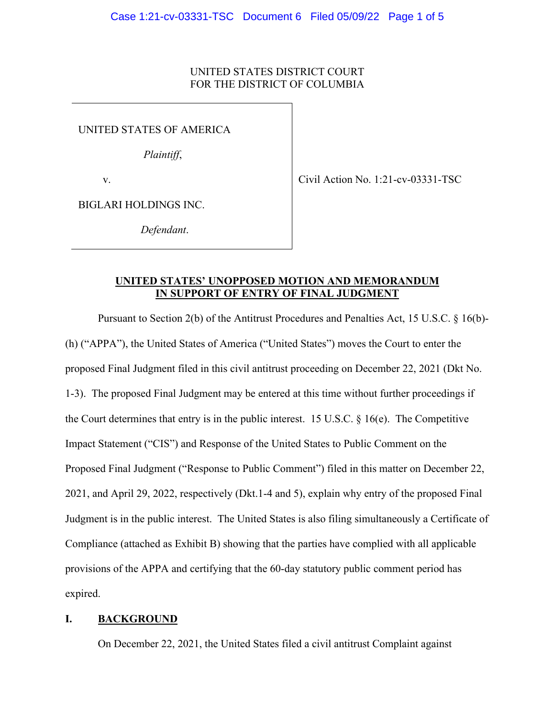## UNITED STATES DISTRICT COURT FOR THE DISTRICT OF COLUMBIA

UNITED STATES OF AMERICA

*Plaintiff*,

v.

Civil Action No. 1:21-cv-03331-TSC

BIGLARI HOLDINGS INC.

*Defendant*.

### **UNITED STATES' UNOPPOSED MOTION AND MEMORANDUM IN SUPPORT OF ENTRY OF FINAL JUDGMENT**

Pursuant to Section 2(b) of the Antitrust Procedures and Penalties Act, 15 U.S.C. § 16(b)- (h) ("APPA"), the United States of America ("United States") moves the Court to enter the proposed Final Judgment filed in this civil antitrust proceeding on December 22, 2021 (Dkt No. 1-3). The proposed Final Judgment may be entered at this time without further proceedings if the Court determines that entry is in the public interest. 15 U.S.C.  $\S$  16(e). The Competitive Impact Statement ("CIS") and Response of the United States to Public Comment on the Proposed Final Judgment ("Response to Public Comment") filed in this matter on December 22, 2021, and April 29, 2022, respectively (Dkt.1-4 and 5), explain why entry of the proposed Final Judgment is in the public interest. The United States is also filing simultaneously a Certificate of Compliance (attached as Exhibit B) showing that the parties have complied with all applicable provisions of the APPA and certifying that the 60-day statutory public comment period has expired.

# **I. BACKGROUND**

On December 22, 2021, the United States filed a civil antitrust Complaint against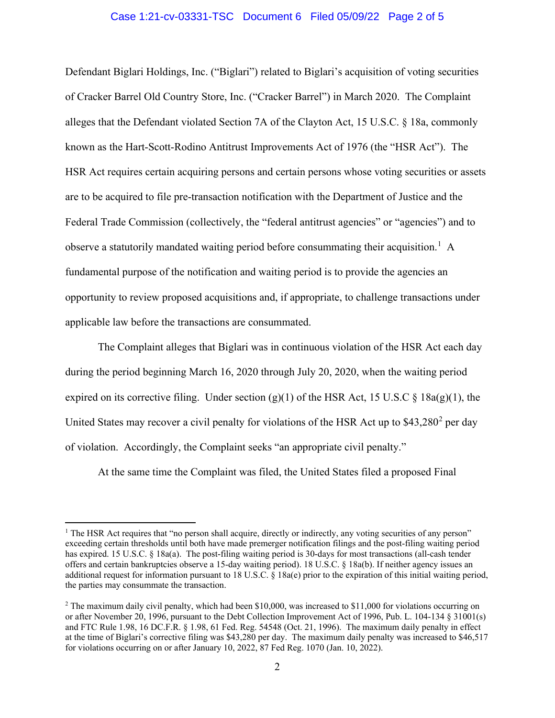#### Case 1:21-cv-03331-TSC Document 6 Filed 05/09/22 Page 2 of 5

Defendant Biglari Holdings, Inc. ("Biglari") related to Biglari's acquisition of voting securities of Cracker Barrel Old Country Store, Inc. ("Cracker Barrel") in March 2020. The Complaint alleges that the Defendant violated Section 7A of the Clayton Act, 15 U.S.C. § 18a, commonly known as the Hart-Scott-Rodino Antitrust Improvements Act of 1976 (the "HSR Act"). The HSR Act requires certain acquiring persons and certain persons whose voting securities or assets are to be acquired to file pre-transaction notification with the Department of Justice and the Federal Trade Commission (collectively, the "federal antitrust agencies" or "agencies") and to observe a statutorily mandated waiting period before consummating their acquisition.<sup>[1](#page-1-0)</sup> A fundamental purpose of the notification and waiting period is to provide the agencies an opportunity to review proposed acquisitions and, if appropriate, to challenge transactions under applicable law before the transactions are consummated.

The Complaint alleges that Biglari was in continuous violation of the HSR Act each day during the period beginning March 16, 2020 through July 20, 2020, when the waiting period expired on its corrective filing. Under section (g)(1) of the HSR Act, 15 U.S.C  $\S$  18a(g)(1), the United States may recover a civil penalty for violations of the HSR Act up to \$43,[2](#page-1-1)80<sup>2</sup> per day of violation. Accordingly, the Complaint seeks "an appropriate civil penalty."

At the same time the Complaint was filed, the United States filed a proposed Final

<span id="page-1-0"></span><sup>&</sup>lt;sup>1</sup> The HSR Act requires that "no person shall acquire, directly or indirectly, any voting securities of any person" exceeding certain thresholds until both have made premerger notification filings and the post-filing waiting period has expired. 15 U.S.C. § 18a(a). The post-filing waiting period is 30-days for most transactions (all-cash tender offers and certain bankruptcies observe a 15-day waiting period). 18 U.S.C. § 18a(b). If neither agency issues an additional request for information pursuant to 18 U.S.C. § 18a(e) prior to the expiration of this initial waiting period, the parties may consummate the transaction.

<span id="page-1-1"></span><sup>&</sup>lt;sup>2</sup> The maximum daily civil penalty, which had been \$10,000, was increased to \$11,000 for violations occurring on or after November 20, 1996, pursuant to the Debt Collection Improvement Act of 1996, Pub. L. 104-134 § 31001(s) and FTC Rule 1.98, 16 DC.F.R. § 1.98, 61 Fed. Reg. 54548 (Oct. 21, 1996). The maximum daily penalty in effect at the time of Biglari's corrective filing was \$43,280 per day. The maximum daily penalty was increased to \$46,517 for violations occurring on or after January 10, 2022, 87 Fed Reg. 1070 (Jan. 10, 2022).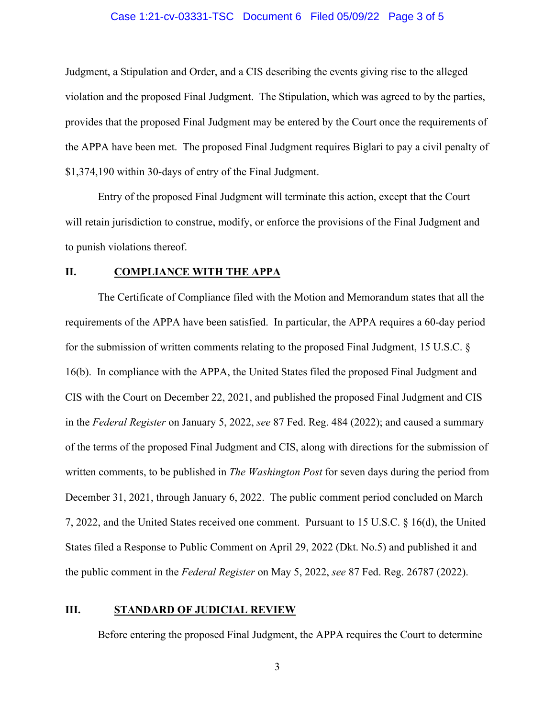#### Case 1:21-cv-03331-TSC Document 6 Filed 05/09/22 Page 3 of 5

Judgment, a Stipulation and Order, and a CIS describing the events giving rise to the alleged violation and the proposed Final Judgment. The Stipulation, which was agreed to by the parties, provides that the proposed Final Judgment may be entered by the Court once the requirements of the APPA have been met. The proposed Final Judgment requires Biglari to pay a civil penalty of \$1,374,190 within 30-days of entry of the Final Judgment.

Entry of the proposed Final Judgment will terminate this action, except that the Court will retain jurisdiction to construe, modify, or enforce the provisions of the Final Judgment and to punish violations thereof.

#### **II. COMPLIANCE WITH THE APPA**

The Certificate of Compliance filed with the Motion and Memorandum states that all the requirements of the APPA have been satisfied. In particular, the APPA requires a 60-day period for the submission of written comments relating to the proposed Final Judgment, 15 U.S.C. § 16(b). In compliance with the APPA, the United States filed the proposed Final Judgment and CIS with the Court on December 22, 2021, and published the proposed Final Judgment and CIS in the *Federal Register* on January 5, 2022, *see* 87 Fed. Reg. 484 (2022); and caused a summary of the terms of the proposed Final Judgment and CIS, along with directions for the submission of written comments, to be published in *The Washington Post* for seven days during the period from December 31, 2021, through January 6, 2022. The public comment period concluded on March 7, 2022, and the United States received one comment. Pursuant to 15 U.S.C. § 16(d), the United States filed a Response to Public Comment on April 29, 2022 (Dkt. No.5) and published it and the public comment in the *Federal Register* on May 5, 2022, *see* 87 Fed. Reg. 26787 (2022).

## **III. STANDARD OF JUDICIAL REVIEW**

Before entering the proposed Final Judgment, the APPA requires the Court to determine

3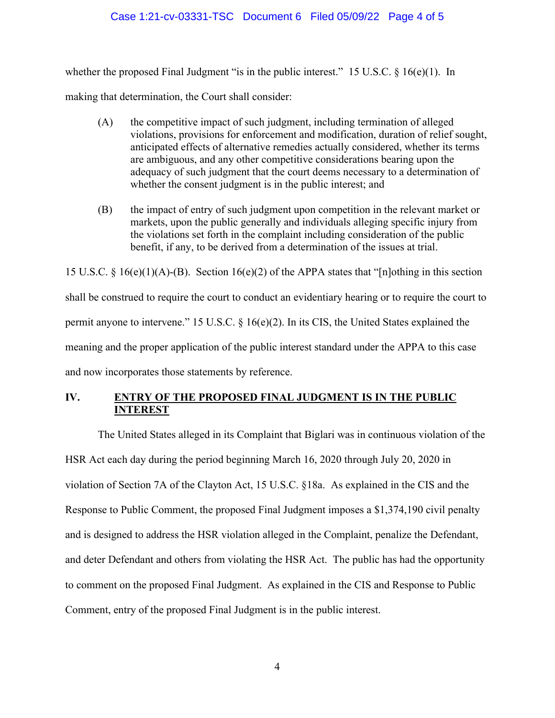### Case 1:21-cv-03331-TSC Document 6 Filed 05/09/22 Page 4 of 5

whether the proposed Final Judgment "is in the public interest." 15 U.S.C. § 16(e)(1). In

making that determination, the Court shall consider:

- (A) the competitive impact of such judgment, including termination of alleged violations, provisions for enforcement and modification, duration of relief sought, anticipated effects of alternative remedies actually considered, whether its terms are ambiguous, and any other competitive considerations bearing upon the adequacy of such judgment that the court deems necessary to a determination of whether the consent judgment is in the public interest; and
- (B) the impact of entry of such judgment upon competition in the relevant market or markets, upon the public generally and individuals alleging specific injury from the violations set forth in the complaint including consideration of the public benefit, if any, to be derived from a determination of the issues at trial.

15 U.S.C. § 16(e)(1)(A)-(B). Section 16(e)(2) of the APPA states that "[n]othing in this section shall be construed to require the court to conduct an evidentiary hearing or to require the court to permit anyone to intervene." 15 U.S.C. § 16(e)(2). In its CIS, the United States explained the meaning and the proper application of the public interest standard under the APPA to this case and now incorporates those statements by reference.

# **IV. ENTRY OF THE PROPOSED FINAL JUDGMENT IS IN THE PUBLIC INTEREST**

The United States alleged in its Complaint that Biglari was in continuous violation of the HSR Act each day during the period beginning March 16, 2020 through July 20, 2020 in violation of Section 7A of the Clayton Act, 15 U.S.C. §18a. As explained in the CIS and the Response to Public Comment, the proposed Final Judgment imposes a \$1,374,190 civil penalty and is designed to address the HSR violation alleged in the Complaint, penalize the Defendant, and deter Defendant and others from violating the HSR Act. The public has had the opportunity to comment on the proposed Final Judgment. As explained in the CIS and Response to Public Comment, entry of the proposed Final Judgment is in the public interest.